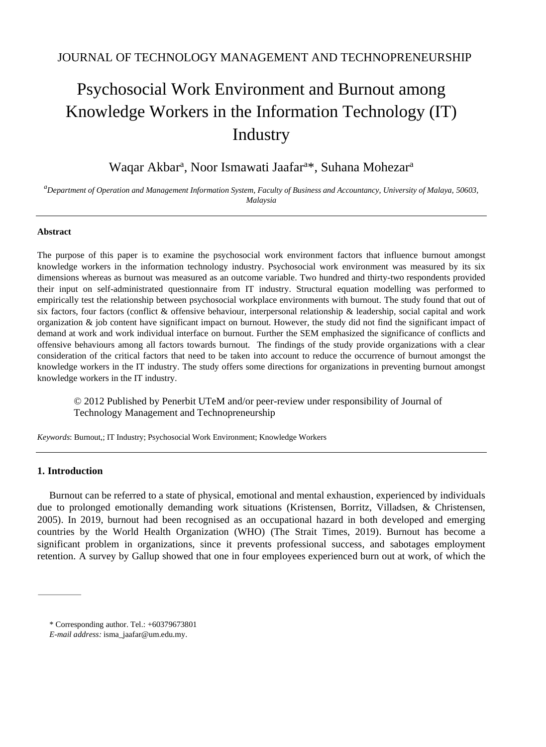# Psychosocial Work Environment and Burnout among Knowledge Workers in the Information Technology (IT) Industry

# Waqar Akbar<sup>a</sup>, Noor Ismawati Jaafar<sup>a\*</sup>, Suhana Mohezar<sup>a</sup>

*<sup>a</sup>Department of Operation and Management Information System, Faculty of Business and Accountancy, University of Malaya, 50603, Malaysia*

#### **Abstract**

The purpose of this paper is to examine the psychosocial work environment factors that influence burnout amongst knowledge workers in the information technology industry. Psychosocial work environment was measured by its six dimensions whereas as burnout was measured as an outcome variable. Two hundred and thirty-two respondents provided their input on self-administrated questionnaire from IT industry. Structural equation modelling was performed to empirically test the relationship between psychosocial workplace environments with burnout. The study found that out of six factors, four factors (conflict & offensive behaviour, interpersonal relationship & leadership, social capital and work organization  $\&$  job content have significant impact on burnout. However, the study did not find the significant impact of demand at work and work individual interface on burnout. Further the SEM emphasized the significance of conflicts and offensive behaviours among all factors towards burnout. The findings of the study provide organizations with a clear consideration of the critical factors that need to be taken into account to reduce the occurrence of burnout amongst the knowledge workers in the IT industry. The study offers some directions for organizations in preventing burnout amongst knowledge workers in the IT industry.

© 2012 Published by Penerbit UTeM and/or peer-review under responsibility of Journal of Technology Management and Technopreneurship

*Keywords*: Burnout,; IT Industry; Psychosocial Work Environment; Knowledge Workers

#### **1. Introduction**

Burnout can be referred to a state of physical, emotional and mental exhaustion, experienced by individuals due to prolonged emotionally demanding work situations (Kristensen, Borritz, Villadsen, & Christensen, 2005). In 2019, burnout had been recognised as an occupational hazard in both developed and emerging countries by the World Health Organization (WHO) (The Strait Times, 2019). Burnout has become a significant problem in organizations, since it prevents professional success, and sabotages employment retention. A survey by Gallup showed that one in four employees experienced burn out at work, of which the

<sup>\*</sup> Corresponding author. Tel.: +60379673801

*E-mail address:* [isma\\_jaafar@um.edu.my.](mailto:sma_jaafar@um.edu.my)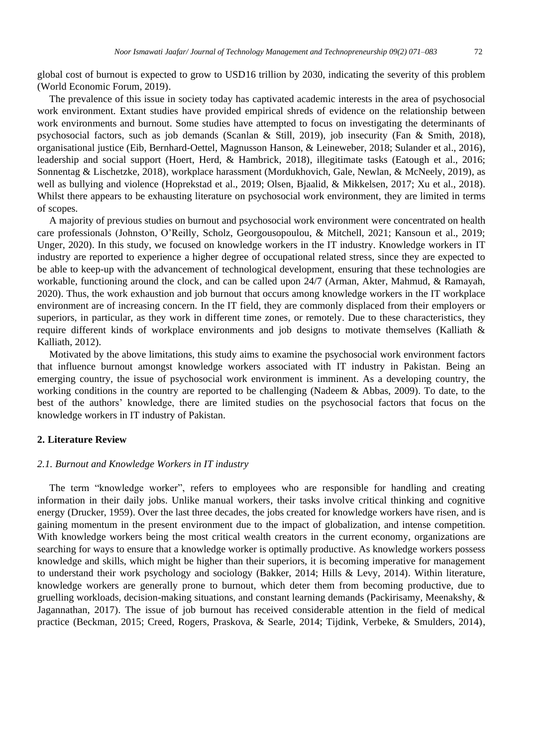global cost of burnout is expected to grow to USD16 trillion by 2030, indicating the severity of this problem (World Economic Forum, 2019).

The prevalence of this issue in society today has captivated academic interests in the area of psychosocial work environment. Extant studies have provided empirical shreds of evidence on the relationship between work environments and burnout. Some studies have attempted to focus on investigating the determinants of psychosocial factors, such as job demands (Scanlan & Still, 2019), job insecurity (Fan & Smith, 2018), organisational justice (Eib, Bernhard-Oettel, Magnusson Hanson, & Leineweber, 2018; Sulander et al., 2016), leadership and social support (Hoert, Herd, & Hambrick, 2018), illegitimate tasks (Eatough et al., 2016; Sonnentag & Lischetzke, 2018), workplace harassment (Mordukhovich, Gale, Newlan, & McNeely, 2019), as well as bullying and violence (Hoprekstad et al., 2019; Olsen, Bjaalid, & Mikkelsen, 2017; Xu et al., 2018). Whilst there appears to be exhausting literature on psychosocial work environment, they are limited in terms of scopes.

A majority of previous studies on burnout and psychosocial work environment were concentrated on health care professionals (Johnston, O'Reilly, Scholz, Georgousopoulou, & Mitchell, 2021; Kansoun et al., 2019; Unger, 2020). In this study, we focused on knowledge workers in the IT industry. Knowledge workers in IT industry are reported to experience a higher degree of occupational related stress, since they are expected to be able to keep-up with the advancement of technological development, ensuring that these technologies are workable, functioning around the clock, and can be called upon 24/7 (Arman, Akter, Mahmud, & Ramayah, 2020). Thus, the work exhaustion and job burnout that occurs among knowledge workers in the IT workplace environment are of increasing concern. In the IT field, they are commonly displaced from their employers or superiors, in particular, as they work in different time zones, or remotely. Due to these characteristics, they require different kinds of workplace environments and job designs to motivate themselves (Kalliath & Kalliath, 2012).

Motivated by the above limitations, this study aims to examine the psychosocial work environment factors that influence burnout amongst knowledge workers associated with IT industry in Pakistan. Being an emerging country, the issue of psychosocial work environment is imminent. As a developing country, the working conditions in the country are reported to be challenging (Nadeem & Abbas, 2009). To date, to the best of the authors' knowledge, there are limited studies on the psychosocial factors that focus on the knowledge workers in IT industry of Pakistan.

#### **2. Literature Review**

### *2.1. Burnout and Knowledge Workers in IT industry*

The term "knowledge worker", refers to employees who are responsible for handling and creating information in their daily jobs. Unlike manual workers, their tasks involve critical thinking and cognitive energy (Drucker, 1959). Over the last three decades, the jobs created for knowledge workers have risen, and is gaining momentum in the present environment due to the impact of globalization, and intense competition. With knowledge workers being the most critical wealth creators in the current economy, organizations are searching for ways to ensure that a knowledge worker is optimally productive. As knowledge workers possess knowledge and skills, which might be higher than their superiors, it is becoming imperative for management to understand their work psychology and sociology (Bakker, 2014; Hills & Levy, 2014). Within literature, knowledge workers are generally prone to burnout, which deter them from becoming productive, due to gruelling workloads, decision-making situations, and constant learning demands (Packirisamy, Meenakshy, & Jagannathan, 2017). The issue of job burnout has received considerable attention in the field of medical practice (Beckman, 2015; Creed, Rogers, Praskova, & Searle, 2014; Tijdink, Verbeke, & Smulders, 2014),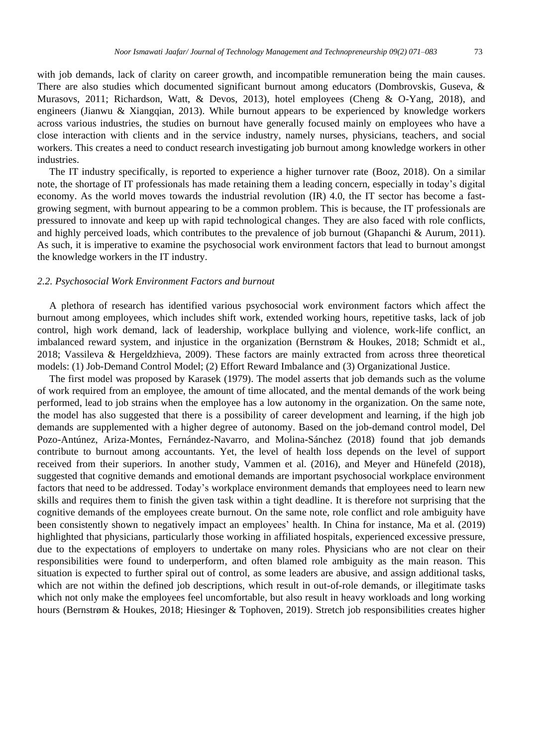with job demands, lack of clarity on career growth, and incompatible remuneration being the main causes. There are also studies which documented significant burnout among educators (Dombrovskis, Guseva, & Murasovs, 2011; Richardson, Watt, & Devos, 2013), hotel employees (Cheng & O-Yang, 2018), and engineers (Jianwu & Xiangqian, 2013). While burnout appears to be experienced by knowledge workers across various industries, the studies on burnout have generally focused mainly on employees who have a close interaction with clients and in the service industry, namely nurses, physicians, teachers, and social workers. This creates a need to conduct research investigating job burnout among knowledge workers in other industries.

The IT industry specifically, is reported to experience a higher turnover rate (Booz, 2018). On a similar note, the shortage of IT professionals has made retaining them a leading concern, especially in today's digital economy. As the world moves towards the industrial revolution (IR) 4.0, the IT sector has become a fastgrowing segment, with burnout appearing to be a common problem. This is because, the IT professionals are pressured to innovate and keep up with rapid technological changes. They are also faced with role conflicts, and highly perceived loads, which contributes to the prevalence of job burnout (Ghapanchi & Aurum, 2011). As such, it is imperative to examine the psychosocial work environment factors that lead to burnout amongst the knowledge workers in the IT industry.

#### *2.2. Psychosocial Work Environment Factors and burnout*

A plethora of research has identified various psychosocial work environment factors which affect the burnout among employees, which includes shift work, extended working hours, repetitive tasks, lack of job control, high work demand, lack of leadership, workplace bullying and violence, work-life conflict, an imbalanced reward system, and injustice in the organization (Bernstrøm & Houkes, 2018; Schmidt et al., 2018; Vassileva & Hergeldzhieva, 2009). These factors are mainly extracted from across three theoretical models: (1) Job-Demand Control Model; (2) Effort Reward Imbalance and (3) Organizational Justice.

The first model was proposed by Karasek (1979). The model asserts that job demands such as the volume of work required from an employee, the amount of time allocated, and the mental demands of the work being performed, lead to job strains when the employee has a low autonomy in the organization. On the same note, the model has also suggested that there is a possibility of career development and learning, if the high job demands are supplemented with a higher degree of autonomy. Based on the job-demand control model, Del Pozo-Antúnez, Ariza-Montes, Fernández-Navarro, and Molina-Sánchez (2018) found that job demands contribute to burnout among accountants. Yet, the level of health loss depends on the level of support received from their superiors. In another study, Vammen et al. (2016), and Meyer and Hünefeld (2018), suggested that cognitive demands and emotional demands are important psychosocial workplace environment factors that need to be addressed. Today's workplace environment demands that employees need to learn new skills and requires them to finish the given task within a tight deadline. It is therefore not surprising that the cognitive demands of the employees create burnout. On the same note, role conflict and role ambiguity have been consistently shown to negatively impact an employees' health. In China for instance, Ma et al. (2019) highlighted that physicians, particularly those working in affiliated hospitals, experienced excessive pressure, due to the expectations of employers to undertake on many roles. Physicians who are not clear on their responsibilities were found to underperform, and often blamed role ambiguity as the main reason. This situation is expected to further spiral out of control, as some leaders are abusive, and assign additional tasks, which are not within the defined job descriptions, which result in out-of-role demands, or illegitimate tasks which not only make the employees feel uncomfortable, but also result in heavy workloads and long working hours (Bernstrøm & Houkes, 2018; Hiesinger & Tophoven, 2019). Stretch job responsibilities creates higher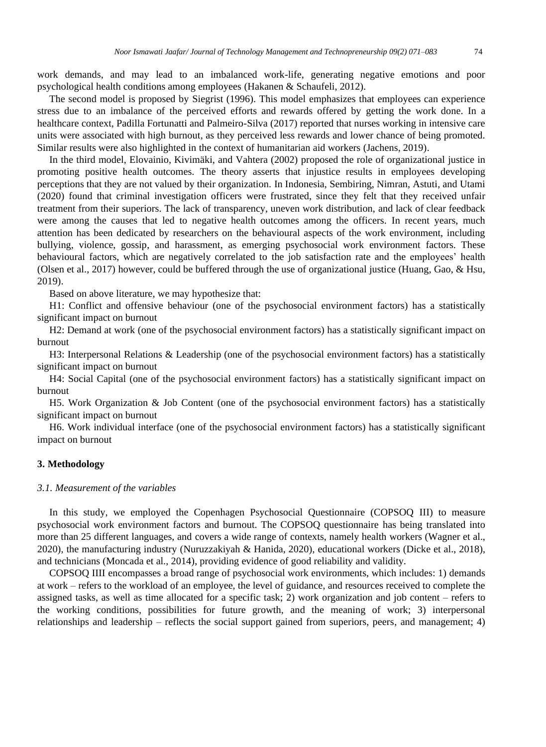work demands, and may lead to an imbalanced work-life, generating negative emotions and poor psychological health conditions among employees (Hakanen & Schaufeli, 2012).

The second model is proposed by Siegrist (1996). This model emphasizes that employees can experience stress due to an imbalance of the perceived efforts and rewards offered by getting the work done. In a healthcare context, Padilla Fortunatti and Palmeiro-Silva (2017) reported that nurses working in intensive care units were associated with high burnout, as they perceived less rewards and lower chance of being promoted. Similar results were also highlighted in the context of humanitarian aid workers (Jachens, 2019).

In the third model, Elovainio, Kivimäki, and Vahtera (2002) proposed the role of organizational justice in promoting positive health outcomes. The theory asserts that injustice results in employees developing perceptions that they are not valued by their organization. In Indonesia, Sembiring, Nimran, Astuti, and Utami (2020) found that criminal investigation officers were frustrated, since they felt that they received unfair treatment from their superiors. The lack of transparency, uneven work distribution, and lack of clear feedback were among the causes that led to negative health outcomes among the officers. In recent years, much attention has been dedicated by researchers on the behavioural aspects of the work environment, including bullying, violence, gossip, and harassment, as emerging psychosocial work environment factors. These behavioural factors, which are negatively correlated to the job satisfaction rate and the employees' health (Olsen et al., 2017) however, could be buffered through the use of organizational justice (Huang, Gao, & Hsu, 2019).

Based on above literature, we may hypothesize that:

H1: Conflict and offensive behaviour (one of the psychosocial environment factors) has a statistically significant impact on burnout

H2: Demand at work (one of the psychosocial environment factors) has a statistically significant impact on burnout

H3: Interpersonal Relations & Leadership (one of the psychosocial environment factors) has a statistically significant impact on burnout

H4: Social Capital (one of the psychosocial environment factors) has a statistically significant impact on burnout

H5. Work Organization & Job Content (one of the psychosocial environment factors) has a statistically significant impact on burnout

H6. Work individual interface (one of the psychosocial environment factors) has a statistically significant impact on burnout

#### **3. Methodology**

#### *3.1. Measurement of the variables*

In this study, we employed the Copenhagen Psychosocial Questionnaire (COPSOQ III) to measure psychosocial work environment factors and burnout. The COPSOQ questionnaire has being translated into more than 25 different languages, and covers a wide range of contexts, namely health workers (Wagner et al., 2020), the manufacturing industry (Nuruzzakiyah & Hanida, 2020), educational workers (Dicke et al., 2018), and technicians (Moncada et al., 2014), providing evidence of good reliability and validity.

COPSOQ IIII encompasses a broad range of psychosocial work environments, which includes: 1) demands at work – refers to the workload of an employee, the level of guidance, and resources received to complete the assigned tasks, as well as time allocated for a specific task; 2) work organization and job content – refers to the working conditions, possibilities for future growth, and the meaning of work; 3) interpersonal relationships and leadership – reflects the social support gained from superiors, peers, and management; 4)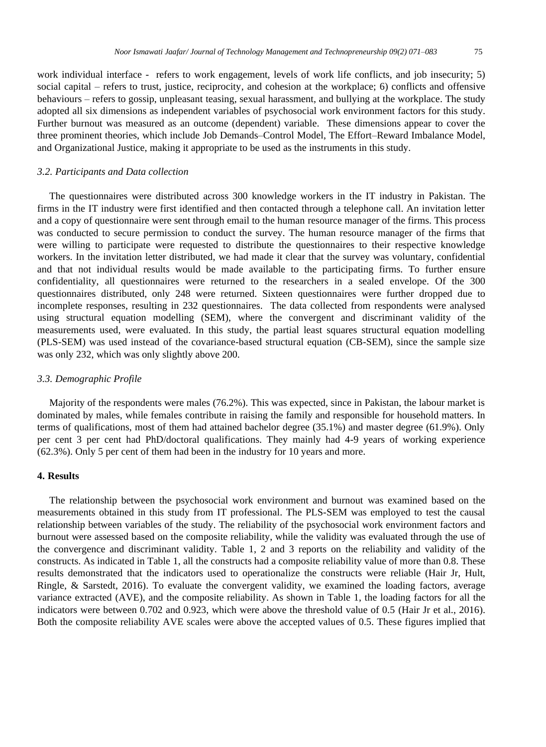work individual interface - refers to work engagement, levels of work life conflicts, and job insecurity; 5) social capital – refers to trust, justice, reciprocity, and cohesion at the workplace; 6) conflicts and offensive behaviours – refers to gossip, unpleasant teasing, sexual harassment, and bullying at the workplace. The study adopted all six dimensions as independent variables of psychosocial work environment factors for this study. Further burnout was measured as an outcome (dependent) variable. These dimensions appear to cover the three prominent theories, which include Job Demands–Control Model, The Effort–Reward Imbalance Model, and Organizational Justice, making it appropriate to be used as the instruments in this study.

#### *3.2. Participants and Data collection*

The questionnaires were distributed across 300 knowledge workers in the IT industry in Pakistan. The firms in the IT industry were first identified and then contacted through a telephone call. An invitation letter and a copy of questionnaire were sent through email to the human resource manager of the firms. This process was conducted to secure permission to conduct the survey. The human resource manager of the firms that were willing to participate were requested to distribute the questionnaires to their respective knowledge workers. In the invitation letter distributed, we had made it clear that the survey was voluntary, confidential and that not individual results would be made available to the participating firms. To further ensure confidentiality, all questionnaires were returned to the researchers in a sealed envelope. Of the 300 questionnaires distributed, only 248 were returned. Sixteen questionnaires were further dropped due to incomplete responses, resulting in 232 questionnaires. The data collected from respondents were analysed using structural equation modelling (SEM), where the convergent and discriminant validity of the measurements used, were evaluated. In this study, the partial least squares structural equation modelling (PLS-SEM) was used instead of the covariance-based structural equation (CB-SEM), since the sample size was only 232, which was only slightly above 200.

#### *3.3. Demographic Profile*

Majority of the respondents were males (76.2%). This was expected, since in Pakistan, the labour market is dominated by males, while females contribute in raising the family and responsible for household matters. In terms of qualifications, most of them had attained bachelor degree (35.1%) and master degree (61.9%). Only per cent 3 per cent had PhD/doctoral qualifications. They mainly had 4-9 years of working experience (62.3%). Only 5 per cent of them had been in the industry for 10 years and more.

### **4. Results**

The relationship between the psychosocial work environment and burnout was examined based on the measurements obtained in this study from IT professional. The PLS-SEM was employed to test the causal relationship between variables of the study. The reliability of the psychosocial work environment factors and burnout were assessed based on the composite reliability, while the validity was evaluated through the use of the convergence and discriminant validity. Table 1, 2 and 3 reports on the reliability and validity of the constructs. As indicated in Table 1, all the constructs had a composite reliability value of more than 0.8. These results demonstrated that the indicators used to operationalize the constructs were reliable (Hair Jr, Hult, Ringle, & Sarstedt, 2016). To evaluate the convergent validity, we examined the loading factors, average variance extracted (AVE), and the composite reliability. As shown in Table 1, the loading factors for all the indicators were between 0.702 and 0.923, which were above the threshold value of 0.5 (Hair Jr et al., 2016). Both the composite reliability AVE scales were above the accepted values of 0.5. These figures implied that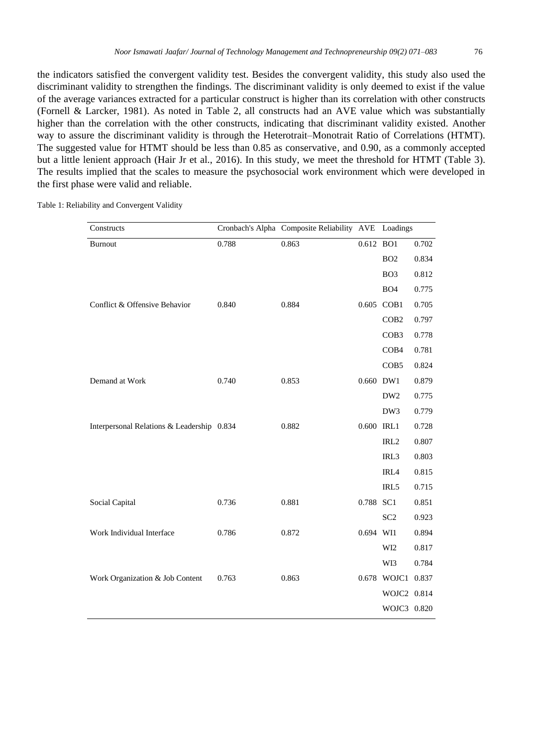the indicators satisfied the convergent validity test. Besides the convergent validity, this study also used the discriminant validity to strengthen the findings. The discriminant validity is only deemed to exist if the value of the average variances extracted for a particular construct is higher than its correlation with other constructs (Fornell & Larcker, 1981). As noted in Table 2, all constructs had an AVE value which was substantially higher than the correlation with the other constructs, indicating that discriminant validity existed. Another way to assure the discriminant validity is through the Heterotrait–Monotrait Ratio of Correlations (HTMT). The suggested value for HTMT should be less than 0.85 as conservative, and 0.90, as a commonly accepted but a little lenient approach (Hair Jr et al., 2016). In this study, we meet the threshold for HTMT (Table 3). The results implied that the scales to measure the psychosocial work environment which were developed in the first phase were valid and reliable.

Table 1: Reliability and Convergent Validity

| Constructs                                 |       | Cronbach's Alpha Composite Reliability AVE Loadings |            |                   |       |
|--------------------------------------------|-------|-----------------------------------------------------|------------|-------------------|-------|
| <b>Burnout</b>                             | 0.788 | 0.863                                               | 0.612 BO1  |                   | 0.702 |
|                                            |       |                                                     |            | BO <sub>2</sub>   | 0.834 |
|                                            |       |                                                     |            | BO <sub>3</sub>   | 0.812 |
|                                            |       |                                                     |            | BO <sub>4</sub>   | 0.775 |
| Conflict & Offensive Behavior              | 0.840 | 0.884                                               |            | 0.605 COB1        | 0.705 |
|                                            |       |                                                     |            | COB <sub>2</sub>  | 0.797 |
|                                            |       |                                                     |            | COB <sub>3</sub>  | 0.778 |
|                                            |       |                                                     |            | COB <sub>4</sub>  | 0.781 |
|                                            |       |                                                     |            | COB5              | 0.824 |
| Demand at Work                             | 0.740 | 0.853                                               | 0.660 DW1  |                   | 0.879 |
|                                            |       |                                                     |            | DW <sub>2</sub>   | 0.775 |
|                                            |       |                                                     |            | DW3               | 0.779 |
| Interpersonal Relations & Leadership 0.834 |       | 0.882                                               | 0.600 IRL1 |                   | 0.728 |
|                                            |       |                                                     |            | IRL <sub>2</sub>  | 0.807 |
|                                            |       |                                                     |            | IRL3              | 0.803 |
|                                            |       |                                                     |            | IRL4              | 0.815 |
|                                            |       |                                                     |            | IRL5              | 0.715 |
| Social Capital                             | 0.736 | 0.881                                               | 0.788 SC1  |                   | 0.851 |
|                                            |       |                                                     |            | SC <sub>2</sub>   | 0.923 |
| Work Individual Interface                  | 0.786 | 0.872                                               | 0.694 WI1  |                   | 0.894 |
|                                            |       |                                                     |            | WI <sub>2</sub>   | 0.817 |
|                                            |       |                                                     |            | WI3               | 0.784 |
| Work Organization & Job Content            | 0.763 | 0.863                                               |            | 0.678 WOJC1 0.837 |       |
|                                            |       |                                                     |            | WOJC2 0.814       |       |
|                                            |       |                                                     |            | WOJC3 0.820       |       |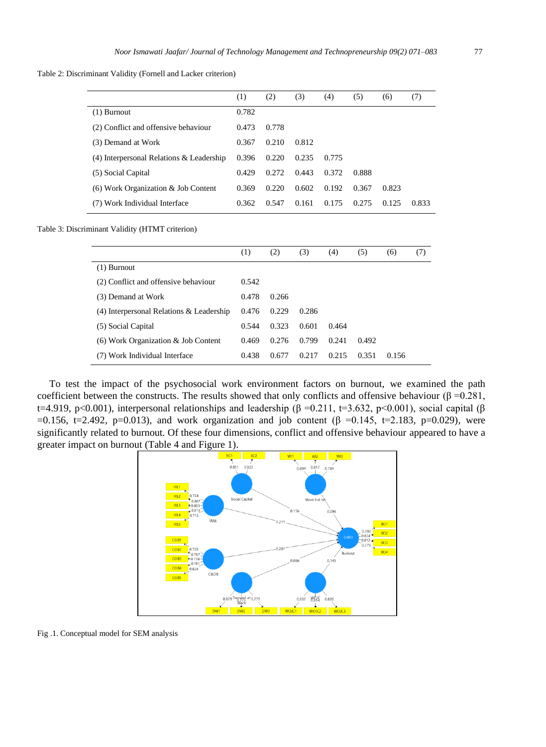Table 2: Discriminant Validity (Fornell and Lacker criterion)

|                                          | (1)   | (2)   | (3)   | (4)   | (5)   | (6)   | (7)   |
|------------------------------------------|-------|-------|-------|-------|-------|-------|-------|
| $(1)$ Burnout                            | 0.782 |       |       |       |       |       |       |
| (2) Conflict and offensive behaviour     | 0.473 | 0.778 |       |       |       |       |       |
| (3) Demand at Work                       | 0.367 | 0.210 | 0.812 |       |       |       |       |
| (4) Interpersonal Relations & Leadership | 0.396 | 0.220 | 0.235 | 0.775 |       |       |       |
| (5) Social Capital                       | 0.429 | 0.272 | 0.443 | 0.372 | 0.888 |       |       |
| (6) Work Organization & Job Content      | 0.369 | 0.220 | 0.602 | 0.192 | 0.367 | 0.823 |       |
| Work Individual Interface                | 0.362 | 0.547 | 0.161 | 0.175 | 0.275 | 0.125 | 0.833 |

Table 3: Discriminant Validity (HTMT criterion)

|                                            | (1)   | (2)   | (3)   | (4)   | (5)   | (6)   | (7) |
|--------------------------------------------|-------|-------|-------|-------|-------|-------|-----|
| (1) Burnout                                |       |       |       |       |       |       |     |
| (2) Conflict and offensive behaviour       | 0.542 |       |       |       |       |       |     |
| (3) Demand at Work                         | 0.478 | 0.266 |       |       |       |       |     |
| $(4)$ Interpersonal Relations & Leadership | 0.476 | 0.229 | 0.286 |       |       |       |     |
| (5) Social Capital                         | 0.544 | 0.323 | 0.601 | 0.464 |       |       |     |
| $(6)$ Work Organization & Job Content      | 0.469 | 0.276 | 0.799 | 0.241 | 0.492 |       |     |
| (7) Work Individual Interface              | 0.438 | 0.677 | 0.217 | 0.215 | 0.351 | 0.156 |     |

To test the impact of the psychosocial work environment factors on burnout, we examined the path coefficient between the constructs. The results showed that only conflicts and offensive behaviour ( $\beta = 0.281$ , t=4.919, p<0.001), interpersonal relationships and leadership (β =0.211, t=3.632, p<0.001), social capital (β  $=0.156$ , t=2.492, p=0.013), and work organization and job content (β =0.145, t=2.183, p=0.029), were significantly related to burnout. Of these four dimensions, conflict and offensive behaviour appeared to have a greater impact on burnout (Table 4 and Figure 1).



Fig .1. Conceptual model for SEM analysis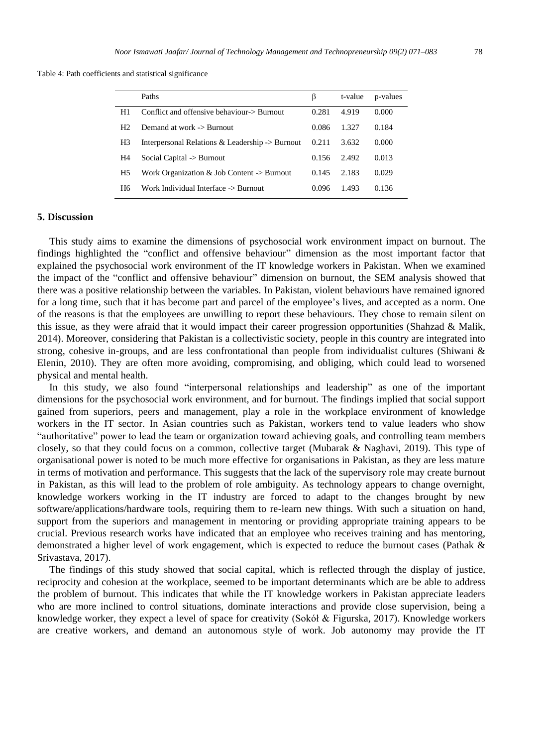Table 4: Path coefficients and statistical significance

|                | Paths                                                         | β     | t-value | p-values |
|----------------|---------------------------------------------------------------|-------|---------|----------|
| H1             | Conflict and offensive behaviour-> Burnout                    | 0.281 | 4.919   | 0.000    |
| H <sub>2</sub> | Demand at work -> Burnout                                     | 0.086 | 1.327   | 0.184    |
| H3             | Interpersonal Relations $\&$ Leadership $\rightarrow$ Burnout | 0.211 | 3.632   | 0.000    |
| H4             | Social Capital -> Burnout                                     | 0.156 | 2.492   | 0.013    |
| H5             | Work Organization & Job Content $\rightarrow$ Burnout         | 0.145 | 2.183   | 0.029    |
| H <sub>6</sub> | Work Individual Interface -> Burnout                          | 0.096 | 1.493   | 0.136    |

#### **5. Discussion**

This study aims to examine the dimensions of psychosocial work environment impact on burnout. The findings highlighted the "conflict and offensive behaviour" dimension as the most important factor that explained the psychosocial work environment of the IT knowledge workers in Pakistan. When we examined the impact of the "conflict and offensive behaviour" dimension on burnout, the SEM analysis showed that there was a positive relationship between the variables. In Pakistan, violent behaviours have remained ignored for a long time, such that it has become part and parcel of the employee's lives, and accepted as a norm. One of the reasons is that the employees are unwilling to report these behaviours. They chose to remain silent on this issue, as they were afraid that it would impact their career progression opportunities (Shahzad & Malik, 2014). Moreover, considering that Pakistan is a collectivistic society, people in this country are integrated into strong, cohesive in-groups, and are less confrontational than people from individualist cultures (Shiwani & Elenin, 2010). They are often more avoiding, compromising, and obliging, which could lead to worsened physical and mental health.

In this study, we also found "interpersonal relationships and leadership" as one of the important dimensions for the psychosocial work environment, and for burnout. The findings implied that social support gained from superiors, peers and management, play a role in the workplace environment of knowledge workers in the IT sector. In Asian countries such as Pakistan, workers tend to value leaders who show "authoritative" power to lead the team or organization toward achieving goals, and controlling team members closely, so that they could focus on a common, collective target (Mubarak & Naghavi, 2019). This type of organisational power is noted to be much more effective for organisations in Pakistan, as they are less mature in terms of motivation and performance. This suggests that the lack of the supervisory role may create burnout in Pakistan, as this will lead to the problem of role ambiguity. As technology appears to change overnight, knowledge workers working in the IT industry are forced to adapt to the changes brought by new software/applications/hardware tools, requiring them to re-learn new things. With such a situation on hand, support from the superiors and management in mentoring or providing appropriate training appears to be crucial. Previous research works have indicated that an employee who receives training and has mentoring, demonstrated a higher level of work engagement, which is expected to reduce the burnout cases (Pathak & Srivastava, 2017).

The findings of this study showed that social capital, which is reflected through the display of justice, reciprocity and cohesion at the workplace, seemed to be important determinants which are be able to address the problem of burnout. This indicates that while the IT knowledge workers in Pakistan appreciate leaders who are more inclined to control situations, dominate interactions and provide close supervision, being a knowledge worker, they expect a level of space for creativity (Sokół & Figurska, 2017). Knowledge workers are creative workers, and demand an autonomous style of work. Job autonomy may provide the IT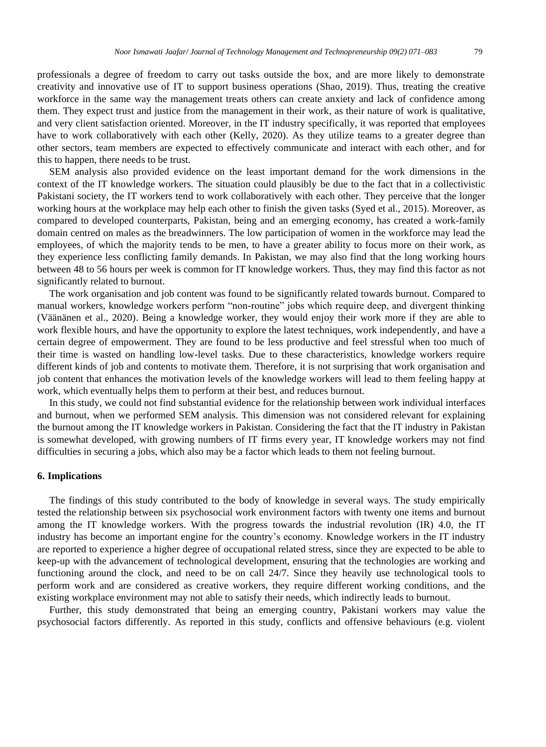professionals a degree of freedom to carry out tasks outside the box, and are more likely to demonstrate creativity and innovative use of IT to support business operations (Shao, 2019). Thus, treating the creative workforce in the same way the management treats others can create anxiety and lack of confidence among them. They expect trust and justice from the management in their work, as their nature of work is qualitative, and very client satisfaction oriented. Moreover, in the IT industry specifically, it was reported that employees have to work collaboratively with each other (Kelly, 2020). As they utilize teams to a greater degree than other sectors, team members are expected to effectively communicate and interact with each other, and for this to happen, there needs to be trust.

SEM analysis also provided evidence on the least important demand for the work dimensions in the context of the IT knowledge workers. The situation could plausibly be due to the fact that in a collectivistic Pakistani society, the IT workers tend to work collaboratively with each other. They perceive that the longer working hours at the workplace may help each other to finish the given tasks (Syed et al., 2015). Moreover, as compared to developed counterparts, Pakistan, being and an emerging economy, has created a work-family domain centred on males as the breadwinners. The low participation of women in the workforce may lead the employees, of which the majority tends to be men, to have a greater ability to focus more on their work, as they experience less conflicting family demands. In Pakistan, we may also find that the long working hours between 48 to 56 hours per week is common for IT knowledge workers. Thus, they may find this factor as not significantly related to burnout.

The work organisation and job content was found to be significantly related towards burnout. Compared to manual workers, knowledge workers perform "non-routine" jobs which require deep, and divergent thinking (Väänänen et al., 2020). Being a knowledge worker, they would enjoy their work more if they are able to work flexible hours, and have the opportunity to explore the latest techniques, work independently, and have a certain degree of empowerment. They are found to be less productive and feel stressful when too much of their time is wasted on handling low-level tasks. Due to these characteristics, knowledge workers require different kinds of job and contents to motivate them. Therefore, it is not surprising that work organisation and job content that enhances the motivation levels of the knowledge workers will lead to them feeling happy at work, which eventually helps them to perform at their best, and reduces burnout.

In this study, we could not find substantial evidence for the relationship between work individual interfaces and burnout, when we performed SEM analysis. This dimension was not considered relevant for explaining the burnout among the IT knowledge workers in Pakistan. Considering the fact that the IT industry in Pakistan is somewhat developed, with growing numbers of IT firms every year, IT knowledge workers may not find difficulties in securing a jobs, which also may be a factor which leads to them not feeling burnout.

#### **6. Implications**

The findings of this study contributed to the body of knowledge in several ways. The study empirically tested the relationship between six psychosocial work environment factors with twenty one items and burnout among the IT knowledge workers. With the progress towards the industrial revolution (IR) 4.0, the IT industry has become an important engine for the country's economy. Knowledge workers in the IT industry are reported to experience a higher degree of occupational related stress, since they are expected to be able to keep-up with the advancement of technological development, ensuring that the technologies are working and functioning around the clock, and need to be on call 24/7. Since they heavily use technological tools to perform work and are considered as creative workers, they require different working conditions, and the existing workplace environment may not able to satisfy their needs, which indirectly leads to burnout.

Further, this study demonstrated that being an emerging country, Pakistani workers may value the psychosocial factors differently. As reported in this study, conflicts and offensive behaviours (e.g. violent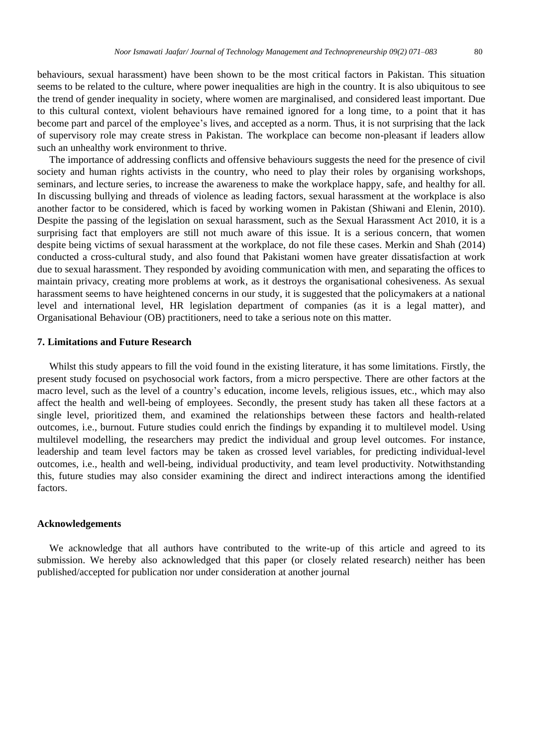behaviours, sexual harassment) have been shown to be the most critical factors in Pakistan. This situation seems to be related to the culture, where power inequalities are high in the country. It is also ubiquitous to see the trend of gender inequality in society, where women are marginalised, and considered least important. Due to this cultural context, violent behaviours have remained ignored for a long time, to a point that it has become part and parcel of the employee's lives, and accepted as a norm. Thus, it is not surprising that the lack of supervisory role may create stress in Pakistan. The workplace can become non-pleasant if leaders allow such an unhealthy work environment to thrive.

The importance of addressing conflicts and offensive behaviours suggests the need for the presence of civil society and human rights activists in the country, who need to play their roles by organising workshops, seminars, and lecture series, to increase the awareness to make the workplace happy, safe, and healthy for all. In discussing bullying and threads of violence as leading factors, sexual harassment at the workplace is also another factor to be considered, which is faced by working women in Pakistan (Shiwani and Elenin, 2010). Despite the passing of the legislation on sexual harassment, such as the Sexual Harassment Act 2010, it is a surprising fact that employers are still not much aware of this issue. It is a serious concern, that women despite being victims of sexual harassment at the workplace, do not file these cases. Merkin and Shah (2014) conducted a cross-cultural study, and also found that Pakistani women have greater dissatisfaction at work due to sexual harassment. They responded by avoiding communication with men, and separating the offices to maintain privacy, creating more problems at work, as it destroys the organisational cohesiveness. As sexual harassment seems to have heightened concerns in our study, it is suggested that the policymakers at a national level and international level, HR legislation department of companies (as it is a legal matter), and Organisational Behaviour (OB) practitioners, need to take a serious note on this matter.

## **7. Limitations and Future Research**

Whilst this study appears to fill the void found in the existing literature, it has some limitations. Firstly, the present study focused on psychosocial work factors, from a micro perspective. There are other factors at the macro level, such as the level of a country's education, income levels, religious issues, etc., which may also affect the health and well-being of employees. Secondly, the present study has taken all these factors at a single level, prioritized them, and examined the relationships between these factors and health-related outcomes, i.e., burnout. Future studies could enrich the findings by expanding it to multilevel model. Using multilevel modelling, the researchers may predict the individual and group level outcomes. For instance, leadership and team level factors may be taken as crossed level variables, for predicting individual-level outcomes, i.e., health and well-being, individual productivity, and team level productivity. Notwithstanding this, future studies may also consider examining the direct and indirect interactions among the identified factors.

#### **Acknowledgements**

We acknowledge that all authors have contributed to the write-up of this article and agreed to its submission. We hereby also acknowledged that this paper (or closely related research) neither has been published/accepted for publication nor under consideration at another journal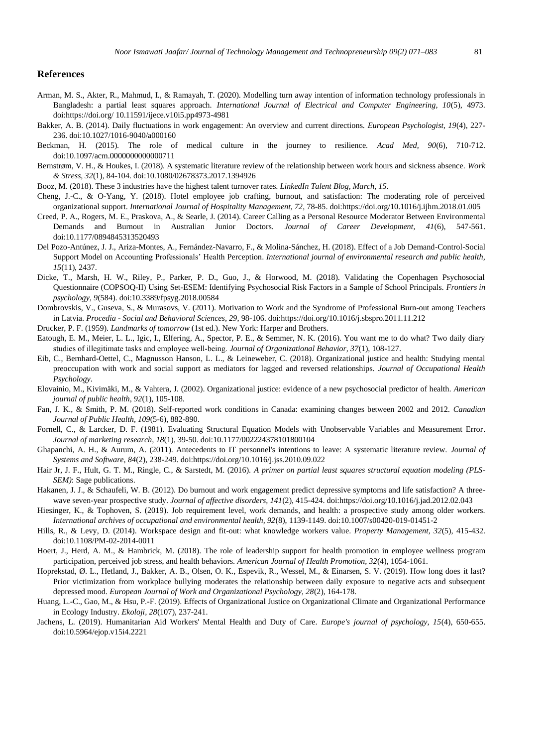#### **References**

- Arman, M. S., Akter, R., Mahmud, I., & Ramayah, T. (2020). Modelling turn away intention of information technology professionals in Bangladesh: a partial least squares approach. *International Journal of Electrical and Computer Engineering, 10*(5), 4973. doi[:https://doi.org/](https://doi.org/) 10.11591/ijece.v10i5.pp4973-4981
- Bakker, A. B. (2014). Daily fluctuations in work engagement: An overview and current directions. *European Psychologist, 19*(4), 227- 236. doi:10.1027/1016-9040/a000160
- Beckman, H. (2015). The role of medical culture in the journey to resilience. *Acad Med, 90*(6), 710-712. doi:10.1097/acm.0000000000000711
- Bernstrøm, V. H., & Houkes, I. (2018). A systematic literature review of the relationship between work hours and sickness absence. *Work & Stress, 32*(1), 84-104. doi:10.1080/02678373.2017.1394926
- Booz, M. (2018). These 3 industries have the highest talent turnover rates. *LinkedIn Talent Blog, March, 15*.
- Cheng, J.-C., & O-Yang, Y. (2018). Hotel employee job crafting, burnout, and satisfaction: The moderating role of perceived organizational support. *International Journal of Hospitality Management, 72*, 78-85. doi[:https://doi.org/10.1016/j.ijhm.2018.01.005](https://doi.org/10.1016/j.ijhm.2018.01.005)
- Creed, P. A., Rogers, M. E., Praskova, A., & Searle, J. (2014). Career Calling as a Personal Resource Moderator Between Environmental Demands and Burnout in Australian Junior Doctors. *Journal of Career Development, 41*(6), 547-561. doi:10.1177/0894845313520493
- Del Pozo-Antúnez, J. J., Ariza-Montes, A., Fernández-Navarro, F., & Molina-Sánchez, H. (2018). Effect of a Job Demand-Control-Social Support Model on Accounting Professionals' Health Perception. *International journal of environmental research and public health, 15*(11), 2437.
- Dicke, T., Marsh, H. W., Riley, P., Parker, P. D., Guo, J., & Horwood, M. (2018). Validating the Copenhagen Psychosocial Questionnaire (COPSOQ-II) Using Set-ESEM: Identifying Psychosocial Risk Factors in a Sample of School Principals. *Frontiers in psychology, 9*(584). doi:10.3389/fpsyg.2018.00584
- Dombrovskis, V., Guseva, S., & Murasovs, V. (2011). Motivation to Work and the Syndrome of Professional Burn-out among Teachers in Latvia. *Procedia - Social and Behavioral Sciences, 29*, 98-106. do[i:https://doi.org/10.1016/j.sbspro.2011.11.212](https://doi.org/10.1016/j.sbspro.2011.11.212)
- Drucker, P. F. (1959). *Landmarks of tomorrow* (1st ed.). New York: Harper and Brothers.
- Eatough, E. M., Meier, L. L., Igic, I., Elfering, A., Spector, P. E., & Semmer, N. K. (2016). You want me to do what? Two daily diary studies of illegitimate tasks and employee well-being. *Journal of Organizational Behavior*, 37(1), 108-127.
- Eib, C., Bernhard-Oettel, C., Magnusson Hanson, L. L., & Leineweber, C. (2018). Organizational justice and health: Studying mental preoccupation with work and social support as mediators for lagged and reversed relationships. *Journal of Occupational Health Psychology*.
- Elovainio, M., Kivimäki, M., & Vahtera, J. (2002). Organizational justice: evidence of a new psychosocial predictor of health. *American journal of public health, 92*(1), 105-108.
- Fan, J. K., & Smith, P. M. (2018). Self-reported work conditions in Canada: examining changes between 2002 and 2012. *Canadian Journal of Public Health, 109*(5-6), 882-890.
- Fornell, C., & Larcker, D. F. (1981). Evaluating Structural Equation Models with Unobservable Variables and Measurement Error. *Journal of marketing research, 18*(1), 39-50. doi:10.1177/002224378101800104
- Ghapanchi, A. H., & Aurum, A. (2011). Antecedents to IT personnel's intentions to leave: A systematic literature review. *Journal of Systems and Software, 84*(2), 238-249. do[i:https://doi.org/10.1016/j.jss.2010.09.022](https://doi.org/10.1016/j.jss.2010.09.022)
- Hair Jr, J. F., Hult, G. T. M., Ringle, C., & Sarstedt, M. (2016). *A primer on partial least squares structural equation modeling (PLS-SEM)*: Sage publications.
- Hakanen, J. J., & Schaufeli, W. B. (2012). Do burnout and work engagement predict depressive symptoms and life satisfaction? A threewave seven-year prospective study. *Journal of affective disorders, 141*(2), 415-424. do[i:https://doi.org/10.1016/j.jad.2012.02.043](https://doi.org/10.1016/j.jad.2012.02.043)
- Hiesinger, K., & Tophoven, S. (2019). Job requirement level, work demands, and health: a prospective study among older workers. *International archives of occupational and environmental health, 92*(8), 1139-1149. doi:10.1007/s00420-019-01451-2
- Hills, R., & Levy, D. (2014). Workspace design and fit-out: what knowledge workers value. *Property Management, 32*(5), 415-432. doi:10.1108/PM-02-2014-0011
- Hoert, J., Herd, A. M., & Hambrick, M. (2018). The role of leadership support for health promotion in employee wellness program participation, perceived job stress, and health behaviors. *American Journal of Health Promotion, 32*(4), 1054-1061.
- Hoprekstad, Ø. L., Hetland, J., Bakker, A. B., Olsen, O. K., Espevik, R., Wessel, M., & Einarsen, S. V. (2019). How long does it last? Prior victimization from workplace bullying moderates the relationship between daily exposure to negative acts and subsequent depressed mood. *European Journal of Work and Organizational Psychology, 28*(2), 164-178.
- Huang, L.-C., Gao, M., & Hsu, P.-F. (2019). Effects of Organizational Justice on Organizational Climate and Organizational Performance in Ecology Industry. *Ekoloji, 28*(107), 237-241.
- Jachens, L. (2019). Humanitarian Aid Workers' Mental Health and Duty of Care. *Europe's journal of psychology, 15*(4), 650-655. doi:10.5964/ejop.v15i4.2221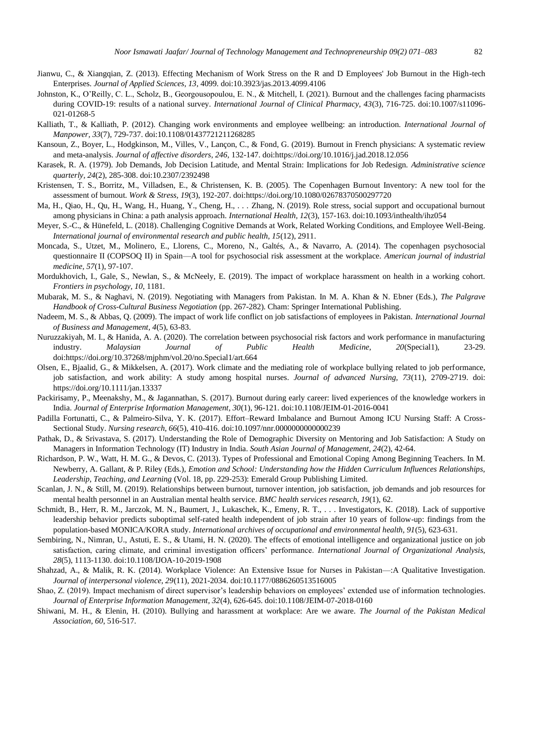- Jianwu, C., & Xiangqian, Z. (2013). Effecting Mechanism of Work Stress on the R and D Employees' Job Burnout in the High-tech Enterprises. *Journal of Applied Sciences, 13*, 4099. doi:10.3923/jas.2013.4099.4106
- Johnston, K., O'Reilly, C. L., Scholz, B., Georgousopoulou, E. N., & Mitchell, I. (2021). Burnout and the challenges facing pharmacists during COVID-19: results of a national survey. *International Journal of Clinical Pharmacy, 43*(3), 716-725. doi:10.1007/s11096- 021-01268-5
- Kalliath, T., & Kalliath, P. (2012). Changing work environments and employee wellbeing: an introduction. *International Journal of Manpower, 33*(7), 729-737. doi:10.1108/01437721211268285
- Kansoun, Z., Boyer, L., Hodgkinson, M., Villes, V., Lançon, C., & Fond, G. (2019). Burnout in French physicians: A systematic review and meta-analysis. *Journal of affective disorders, 246*, 132-147. do[i:https://doi.org/10.1016/j.jad.2018.12.056](https://doi.org/10.1016/j.jad.2018.12.056)
- Karasek, R. A. (1979). Job Demands, Job Decision Latitude, and Mental Strain: Implications for Job Redesign. *Administrative science quarterly, 24*(2), 285-308. doi:10.2307/2392498
- Kristensen, T. S., Borritz, M., Villadsen, E., & Christensen, K. B. (2005). The Copenhagen Burnout Inventory: A new tool for the assessment of burnout. *Work & Stress, 19*(3), 192-207. do[i:https://doi.org/10.1080/02678370500297720](https://doi.org/10.1080/02678370500297720)
- Ma, H., Qiao, H., Qu, H., Wang, H., Huang, Y., Cheng, H., . . . Zhang, N. (2019). Role stress, social support and occupational burnout among physicians in China: a path analysis approach. *International Health, 12*(3), 157-163. doi:10.1093/inthealth/ihz054
- Meyer, S.-C., & Hünefeld, L. (2018). Challenging Cognitive Demands at Work, Related Working Conditions, and Employee Well-Being. *International journal of environmental research and public health, 15*(12), 2911.
- Moncada, S., Utzet, M., Molinero, E., Llorens, C., Moreno, N., Galtés, A., & Navarro, A. (2014). The copenhagen psychosocial questionnaire II (COPSOQ II) in Spain—A tool for psychosocial risk assessment at the workplace. *American journal of industrial medicine, 57*(1), 97-107.
- Mordukhovich, I., Gale, S., Newlan, S., & McNeely, E. (2019). The impact of workplace harassment on health in a working cohort. *Frontiers in psychology, 10*, 1181.
- Mubarak, M. S., & Naghavi, N. (2019). Negotiating with Managers from Pakistan. In M. A. Khan & N. Ebner (Eds.), *The Palgrave Handbook of Cross-Cultural Business Negotiation* (pp. 267-282). Cham: Springer International Publishing.
- Nadeem, M. S., & Abbas, Q. (2009). The impact of work life conflict on job satisfactions of employees in Pakistan. *International Journal of Business and Management, 4*(5), 63-83.
- Nuruzzakiyah, M. I., & Hanida, A. A. (2020). The correlation between psychosocial risk factors and work performance in manufacturing industry. *Malaysian Journal of Public Health Medicine, 20*(Special1), 23-29. doi[:https://doi.org/10.37268/mjphm/vol.20/no.Special1/art.664](https://doi.org/10.37268/mjphm/vol.20/no.Special1/art.664)
- Olsen, E., Bjaalid, G., & Mikkelsen, A. (2017). Work climate and the mediating role of workplace bullying related to job performance, job satisfaction, and work ability: A study among hospital nurses. *Journal of advanced Nursing, 73*(11), 2709-2719. doi: <https://doi.org/10.1111/jan.13337>
- Packirisamy, P., Meenakshy, M., & Jagannathan, S. (2017). Burnout during early career: lived experiences of the knowledge workers in India. *Journal of Enterprise Information Management, 30*(1), 96-121. doi:10.1108/JEIM-01-2016-0041
- Padilla Fortunatti, C., & Palmeiro-Silva, Y. K. (2017). Effort–Reward Imbalance and Burnout Among ICU Nursing Staff: A Cross-Sectional Study. *Nursing research, 66*(5), 410-416. doi:10.1097/nnr.0000000000000239
- Pathak, D., & Srivastava, S. (2017). Understanding the Role of Demographic Diversity on Mentoring and Job Satisfaction: A Study on Managers in Information Technology (IT) Industry in India. *South Asian Journal of Management, 24*(2), 42-64.
- Richardson, P. W., Watt, H. M. G., & Devos, C. (2013). Types of Professional and Emotional Coping Among Beginning Teachers. In M. Newberry, A. Gallant, & P. Riley (Eds.), *Emotion and School: Understanding how the Hidden Curriculum Influences Relationships, Leadership, Teaching, and Learning* (Vol. 18, pp. 229-253): Emerald Group Publishing Limited.
- Scanlan, J. N., & Still, M. (2019). Relationships between burnout, turnover intention, job satisfaction, job demands and job resources for mental health personnel in an Australian mental health service. *BMC health services research, 19*(1), 62.
- Schmidt, B., Herr, R. M., Jarczok, M. N., Baumert, J., Lukaschek, K., Emeny, R. T., . . . Investigators, K. (2018). Lack of supportive leadership behavior predicts suboptimal self-rated health independent of job strain after 10 years of follow-up: findings from the population-based MONICA/KORA study. *International archives of occupational and environmental health, 91*(5), 623-631.
- Sembiring, N., Nimran, U., Astuti, E. S., & Utami, H. N. (2020). The effects of emotional intelligence and organizational justice on job satisfaction, caring climate, and criminal investigation officers' performance. *International Journal of Organizational Analysis, 28*(5), 1113-1130. doi:10.1108/IJOA-10-2019-1908
- Shahzad, A., & Malik, R. K. (2014). Workplace Violence: An Extensive Issue for Nurses in Pakistan—:A Qualitative Investigation. *Journal of interpersonal violence, 29*(11), 2021-2034. doi:10.1177/0886260513516005
- Shao, Z. (2019). Impact mechanism of direct supervisor's leadership behaviors on employees' extended use of information technologies. *Journal of Enterprise Information Management, 32*(4), 626-645. doi:10.1108/JEIM-07-2018-0160
- Shiwani, M. H., & Elenin, H. (2010). Bullying and harassment at workplace: Are we aware. *The Journal of the Pakistan Medical Association, 60*, 516-517.